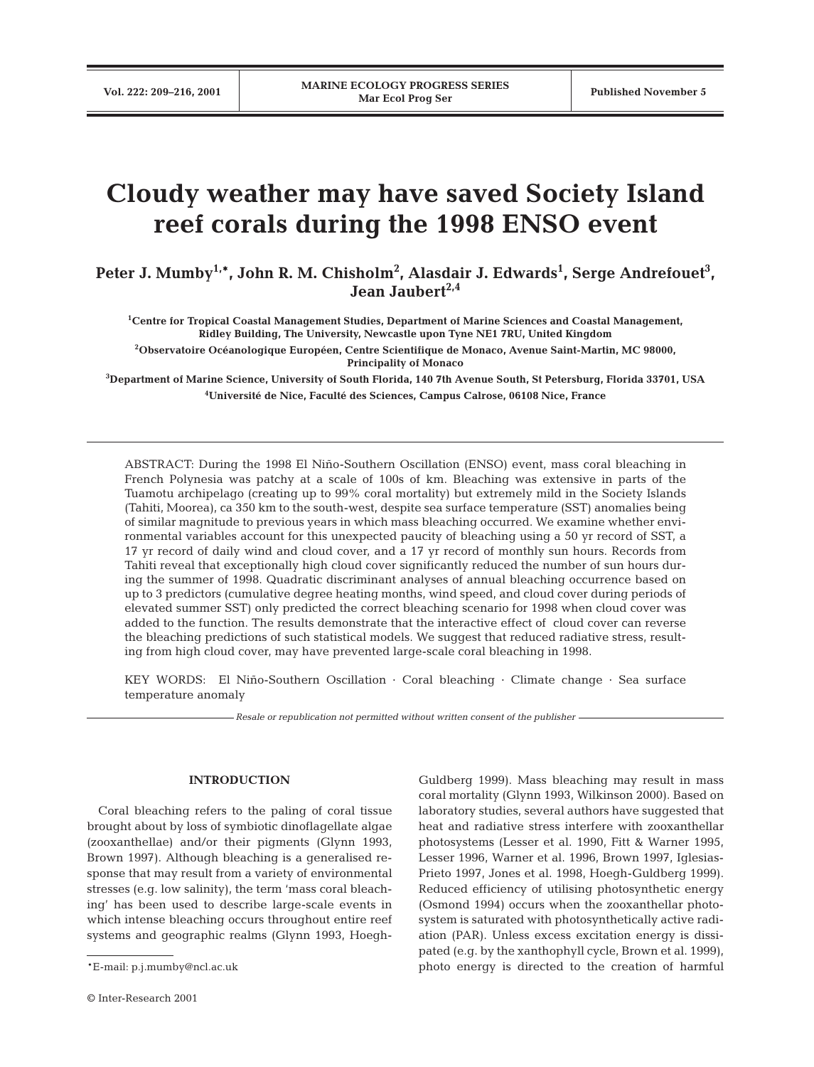# **Cloudy weather may have saved Society Island reef corals during the 1998 ENSO event**

Peter J. Mumby $^{1,\ast}$ , John R. M. Chisholm $^2$ , Alasdair J. Edwards $^1$ , Serge Andrefouet $^3$ , **Jean Jaubert2,4**

**1 Centre for Tropical Coastal Management Studies, Department of Marine Sciences and Coastal Management, Ridley Building, The University, Newcastle upon Tyne NE1 7RU, United Kingdom**

**2 Observatoire Océanologique Européen, Centre Scientifique de Monaco, Avenue Saint-Martin, MC 98000, Principality of Monaco**

**3 Department of Marine Science, University of South Florida, 140 7th Avenue South, St Petersburg, Florida 33701, USA 4 Université de Nice, Faculté des Sciences, Campus Calrose, 06108 Nice, France** 

ABSTRACT: During the 1998 El Niño-Southern Oscillation (ENSO) event, mass coral bleaching in French Polynesia was patchy at a scale of 100s of km. Bleaching was extensive in parts of the Tuamotu archipelago (creating up to 99% coral mortality) but extremely mild in the Society Islands (Tahiti, Moorea), ca 350 km to the south-west, despite sea surface temperature (SST) anomalies being of similar magnitude to previous years in which mass bleaching occurred. We examine whether environmental variables account for this unexpected paucity of bleaching using a 50 yr record of SST, a 17 yr record of daily wind and cloud cover, and a 17 yr record of monthly sun hours. Records from Tahiti reveal that exceptionally high cloud cover significantly reduced the number of sun hours during the summer of 1998. Quadratic discriminant analyses of annual bleaching occurrence based on up to 3 predictors (cumulative degree heating months, wind speed, and cloud cover during periods of elevated summer SST) only predicted the correct bleaching scenario for 1998 when cloud cover was added to the function. The results demonstrate that the interactive effect of cloud cover can reverse the bleaching predictions of such statistical models. We suggest that reduced radiative stress, resulting from high cloud cover, may have prevented large-scale coral bleaching in 1998.

KEY WORDS: El Niño-Southern Oscillation · Coral bleaching · Climate change · Sea surface temperature anomaly

*Resale or republication not permitted without written consent of the publisher*

### **INTRODUCTION**

Coral bleaching refers to the paling of coral tissue brought about by loss of symbiotic dinoflagellate algae (zooxanthellae) and/or their pigments (Glynn 1993, Brown 1997). Although bleaching is a generalised response that may result from a variety of environmental stresses (e.g. low salinity), the term 'mass coral bleaching' has been used to describe large-scale events in which intense bleaching occurs throughout entire reef systems and geographic realms (Glynn 1993, Hoegh-

Guldberg 1999). Mass bleaching may result in mass coral mortality (Glynn 1993, Wilkinson 2000). Based on laboratory studies, several authors have suggested that heat and radiative stress interfere with zooxanthellar photosystems (Lesser et al. 1990, Fitt & Warner 1995, Lesser 1996, Warner et al. 1996, Brown 1997, Iglesias-Prieto 1997, Jones et al. 1998, Hoegh-Guldberg 1999). Reduced efficiency of utilising photosynthetic energy (Osmond 1994) occurs when the zooxanthellar photosystem is saturated with photosynthetically active radiation (PAR). Unless excess excitation energy is dissipated (e.g. by the xanthophyll cycle, Brown et al. 1999), photo energy is directed to the creation of harmful

<sup>\*</sup>E-mail: p.j.mumby@ncl.ac.uk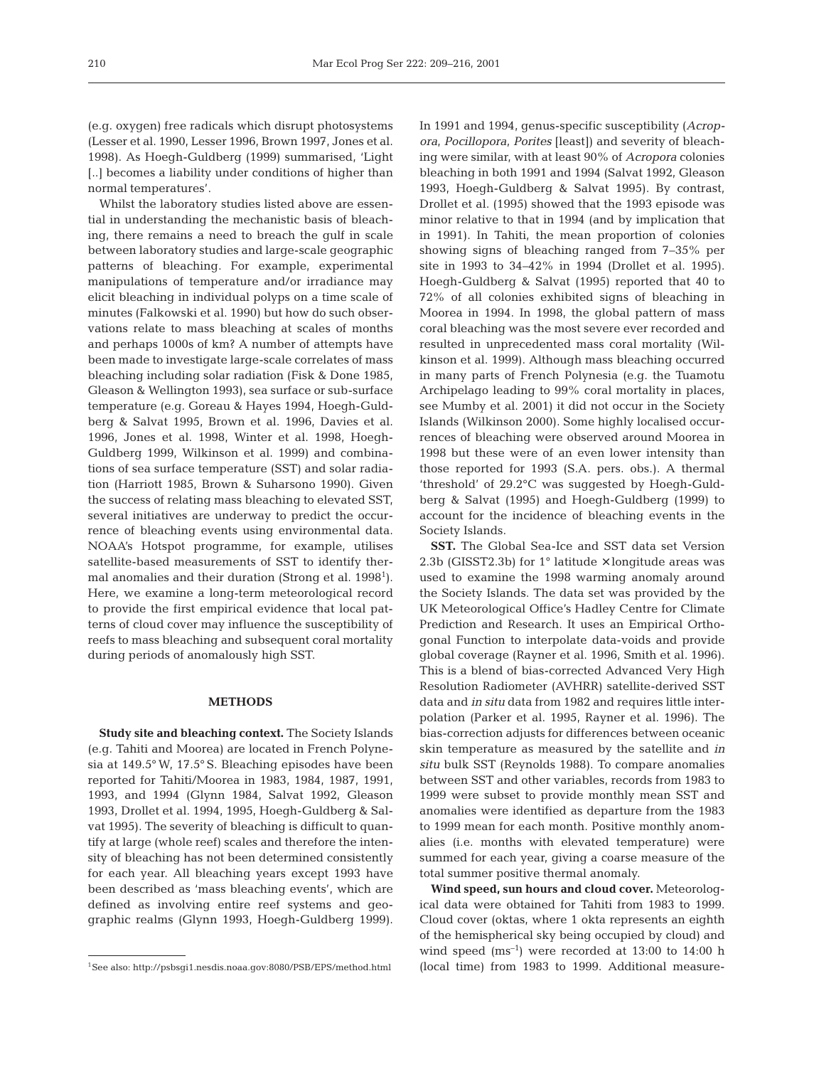(e.g. oxygen) free radicals which disrupt photosystems (Lesser et al. 1990, Lesser 1996, Brown 1997, Jones et al. 1998). As Hoegh-Guldberg (1999) summarised, 'Light [..] becomes a liability under conditions of higher than normal temperatures'.

Whilst the laboratory studies listed above are essential in understanding the mechanistic basis of bleaching, there remains a need to breach the gulf in scale between laboratory studies and large-scale geographic patterns of bleaching. For example, experimental manipulations of temperature and/or irradiance may elicit bleaching in individual polyps on a time scale of minutes (Falkowski et al. 1990) but how do such observations relate to mass bleaching at scales of months and perhaps 1000s of km? A number of attempts have been made to investigate large-scale correlates of mass bleaching including solar radiation (Fisk & Done 1985, Gleason & Wellington 1993), sea surface or sub-surface temperature (e.g. Goreau & Hayes 1994, Hoegh-Guldberg & Salvat 1995, Brown et al. 1996, Davies et al. 1996, Jones et al. 1998, Winter et al. 1998, Hoegh-Guldberg 1999, Wilkinson et al. 1999) and combinations of sea surface temperature (SST) and solar radiation (Harriott 1985, Brown & Suharsono 1990). Given the success of relating mass bleaching to elevated SST, several initiatives are underway to predict the occurrence of bleaching events using environmental data. NOAA's Hotspot programme, for example, utilises satellite-based measurements of SST to identify thermal anomalies and their duration (Strong et al. 1998<sup>1</sup>). Here, we examine a long-term meteorological record to provide the first empirical evidence that local patterns of cloud cover may influence the susceptibility of reefs to mass bleaching and subsequent coral mortality during periods of anomalously high SST.

#### **METHODS**

**Study site and bleaching context.** The Society Islands (e.g. Tahiti and Moorea) are located in French Polynesia at 149.5° W, 17.5° S. Bleaching episodes have been reported for Tahiti/Moorea in 1983, 1984, 1987, 1991, 1993, and 1994 (Glynn 1984, Salvat 1992, Gleason 1993, Drollet et al. 1994, 1995, Hoegh-Guldberg & Salvat 1995). The severity of bleaching is difficult to quantify at large (whole reef) scales and therefore the intensity of bleaching has not been determined consistently for each year. All bleaching years except 1993 have been described as 'mass bleaching events', which are defined as involving entire reef systems and geographic realms (Glynn 1993, Hoegh-Guldberg 1999).

In 1991 and 1994, genus-specific susceptibility (*Acropora, Pocillopora, Porites* [least]) and severity of bleaching were similar, with at least 90% of *Acropora* colonies bleaching in both 1991 and 1994 (Salvat 1992, Gleason 1993, Hoegh-Guldberg & Salvat 1995). By contrast, Drollet et al. (1995) showed that the 1993 episode was minor relative to that in 1994 (and by implication that in 1991). In Tahiti, the mean proportion of colonies showing signs of bleaching ranged from 7–35% per site in 1993 to 34–42% in 1994 (Drollet et al. 1995). Hoegh-Guldberg & Salvat (1995) reported that 40 to 72% of all colonies exhibited signs of bleaching in Moorea in 1994. In 1998, the global pattern of mass coral bleaching was the most severe ever recorded and resulted in unprecedented mass coral mortality (Wilkinson et al. 1999). Although mass bleaching occurred in many parts of French Polynesia (e.g. the Tuamotu Archipelago leading to 99% coral mortality in places, see Mumby et al. 2001) it did not occur in the Society Islands (Wilkinson 2000). Some highly localised occurrences of bleaching were observed around Moorea in 1998 but these were of an even lower intensity than those reported for 1993 (S.A. pers. obs.). A thermal 'threshold' of 29.2°C was suggested by Hoegh-Guldberg & Salvat (1995) and Hoegh-Guldberg (1999) to account for the incidence of bleaching events in the Society Islands.

**SST.** The Global Sea-Ice and SST data set Version 2.3b (GISST2.3b) for  $1^{\circ}$  latitude  $\times$  longitude areas was used to examine the 1998 warming anomaly around the Society Islands. The data set was provided by the UK Meteorological Office's Hadley Centre for Climate Prediction and Research. It uses an Empirical Orthogonal Function to interpolate data-voids and provide global coverage (Rayner et al. 1996, Smith et al*.* 1996). This is a blend of bias-corrected Advanced Very High Resolution Radiometer (AVHRR) satellite-derived SST data and *in situ* data from 1982 and requires little interpolation (Parker et al. 1995, Rayner et al*.* 1996). The bias-correction adjusts for differences between oceanic skin temperature as measured by the satellite and *in situ* bulk SST (Reynolds 1988). To compare anomalies between SST and other variables, records from 1983 to 1999 were subset to provide monthly mean SST and anomalies were identified as departure from the 1983 to 1999 mean for each month. Positive monthly anomalies (i.e. months with elevated temperature) were summed for each year, giving a coarse measure of the total summer positive thermal anomaly.

**Wind speed, sun hours and cloud cover.** Meteorological data were obtained for Tahiti from 1983 to 1999. Cloud cover (oktas, where 1 okta represents an eighth of the hemispherical sky being occupied by cloud) and wind speed  $(ms^{-1})$  were recorded at 13:00 to 14:00 h (local time) from 1983 to 1999. Additional measure-

<sup>1</sup>See also: http://psbsgi1.nesdis.noaa.gov:8080/PSB/EPS/method.html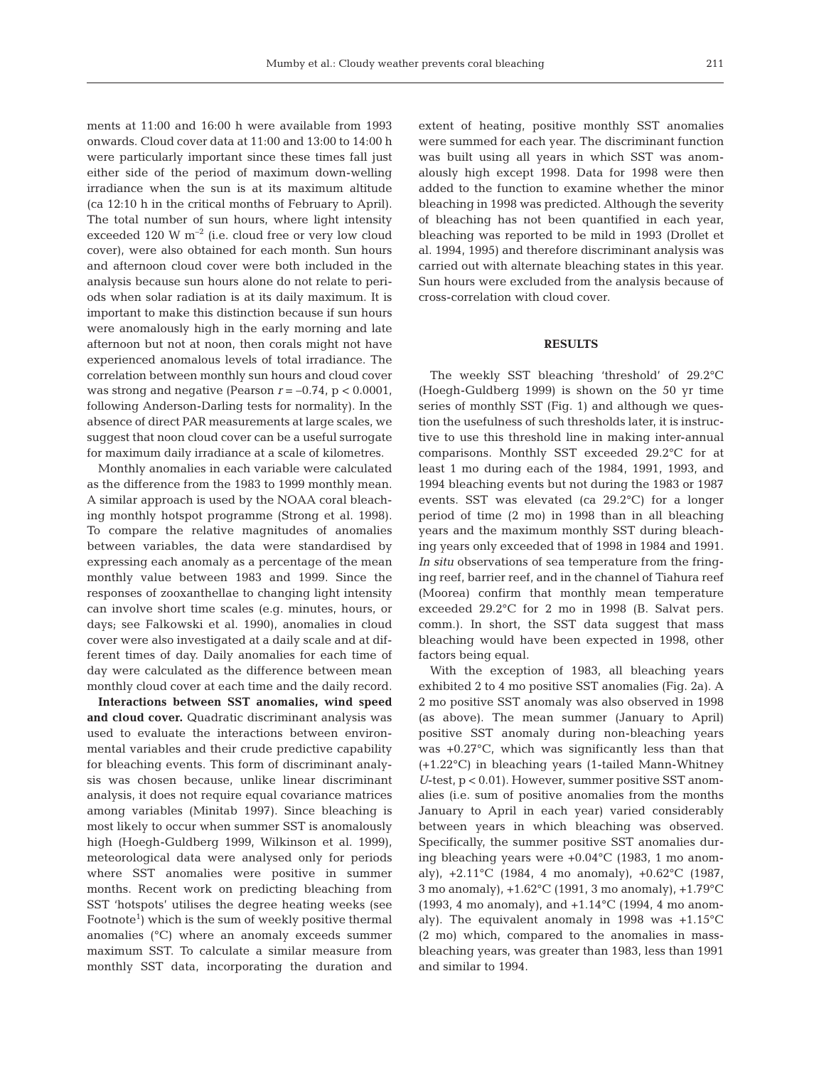ments at 11:00 and 16:00 h were available from 1993 onwards. Cloud cover data at 11:00 and 13:00 to 14:00 h were particularly important since these times fall just either side of the period of maximum down-welling irradiance when the sun is at its maximum altitude (ca 12:10 h in the critical months of February to April). The total number of sun hours, where light intensity exceeded 120 W  $m^{-2}$  (i.e. cloud free or very low cloud cover), were also obtained for each month. Sun hours and afternoon cloud cover were both included in the analysis because sun hours alone do not relate to periods when solar radiation is at its daily maximum. It is important to make this distinction because if sun hours were anomalously high in the early morning and late afternoon but not at noon, then corals might not have experienced anomalous levels of total irradiance. The correlation between monthly sun hours and cloud cover was strong and negative (Pearson  $r = -0.74$ ,  $p < 0.0001$ , following Anderson-Darling tests for normality). In the absence of direct PAR measurements at large scales, we suggest that noon cloud cover can be a useful surrogate for maximum daily irradiance at a scale of kilometres.

Monthly anomalies in each variable were calculated as the difference from the 1983 to 1999 monthly mean. A similar approach is used by the NOAA coral bleaching monthly hotspot programme (Strong et al. 1998). To compare the relative magnitudes of anomalies between variables, the data were standardised by expressing each anomaly as a percentage of the mean monthly value between 1983 and 1999. Since the responses of zooxanthellae to changing light intensity can involve short time scales (e.g. minutes, hours, or days; see Falkowski et al. 1990), anomalies in cloud cover were also investigated at a daily scale and at different times of day. Daily anomalies for each time of day were calculated as the difference between mean monthly cloud cover at each time and the daily record.

**Interactions between SST anomalies, wind speed and cloud cover.** Quadratic discriminant analysis was used to evaluate the interactions between environmental variables and their crude predictive capability for bleaching events. This form of discriminant analysis was chosen because, unlike linear discriminant analysis, it does not require equal covariance matrices among variables (Minitab 1997). Since bleaching is most likely to occur when summer SST is anomalously high (Hoegh-Guldberg 1999, Wilkinson et al. 1999), meteorological data were analysed only for periods where SST anomalies were positive in summer months. Recent work on predicting bleaching from SST 'hotspots' utilises the degree heating weeks (see Footnote<sup>1</sup>) which is the sum of weekly positive thermal anomalies (°C) where an anomaly exceeds summer maximum SST. To calculate a similar measure from monthly SST data, incorporating the duration and

extent of heating, positive monthly SST anomalies were summed for each year. The discriminant function was built using all years in which SST was anomalously high except 1998. Data for 1998 were then added to the function to examine whether the minor bleaching in 1998 was predicted. Although the severity of bleaching has not been quantified in each year, bleaching was reported to be mild in 1993 (Drollet et al. 1994, 1995) and therefore discriminant analysis was carried out with alternate bleaching states in this year. Sun hours were excluded from the analysis because of cross-correlation with cloud cover.

### **RESULTS**

The weekly SST bleaching 'threshold' of 29.2°C (Hoegh-Guldberg 1999) is shown on the 50 yr time series of monthly SST (Fig. 1) and although we question the usefulness of such thresholds later, it is instructive to use this threshold line in making inter-annual comparisons. Monthly SST exceeded 29.2°C for at least 1 mo during each of the 1984, 1991, 1993, and 1994 bleaching events but not during the 1983 or 1987 events. SST was elevated (ca 29.2°C) for a longer period of time (2 mo) in 1998 than in all bleaching years and the maximum monthly SST during bleaching years only exceeded that of 1998 in 1984 and 1991. *In situ* observations of sea temperature from the fringing reef, barrier reef, and in the channel of Tiahura reef (Moorea) confirm that monthly mean temperature exceeded 29.2°C for 2 mo in 1998 (B. Salvat pers. comm.). In short, the SST data suggest that mass bleaching would have been expected in 1998, other factors being equal.

With the exception of 1983, all bleaching years exhibited 2 to 4 mo positive SST anomalies (Fig. 2a). A 2 mo positive SST anomaly was also observed in 1998 (as above). The mean summer (January to April) positive SST anomaly during non-bleaching years was +0.27°C, which was significantly less than that (+1.22°C) in bleaching years (1-tailed Mann-Whitney *U*-test, p < 0.01). However, summer positive SST anomalies (i.e. sum of positive anomalies from the months January to April in each year) varied considerably between years in which bleaching was observed. Specifically, the summer positive SST anomalies during bleaching years were +0.04°C (1983, 1 mo anomaly), +2.11°C (1984, 4 mo anomaly), +0.62°C (1987, 3 mo anomaly), +1.62°C (1991, 3 mo anomaly), +1.79°C (1993, 4 mo anomaly), and +1.14°C (1994, 4 mo anomaly). The equivalent anomaly in 1998 was +1.15°C (2 mo) which, compared to the anomalies in massbleaching years, was greater than 1983, less than 1991 and similar to 1994.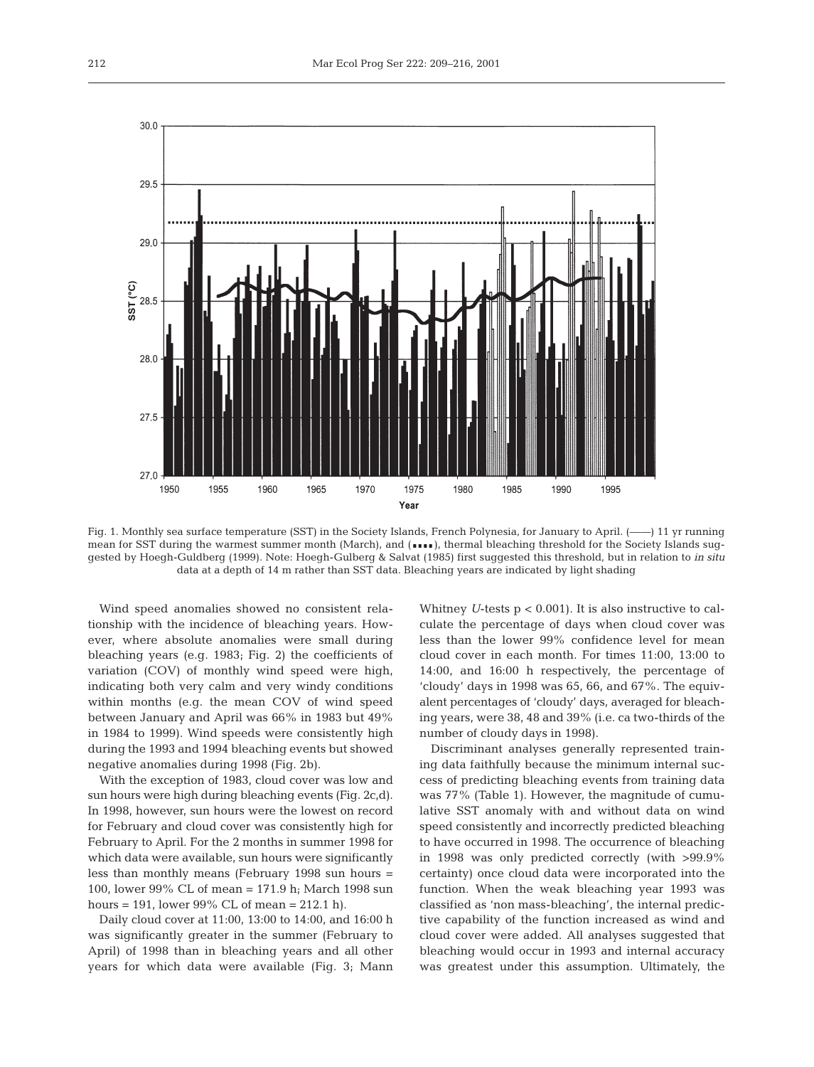

Fig. 1. Monthly sea surface temperature (SST) in the Society Islands, French Polynesia, for January to April. (––––) 11 yr running mean for SST during the warmest summer month (March), and ( $\bullet\bullet\bullet$ ), thermal bleaching threshold for the Society Islands suggested by Hoegh-Guldberg (1999). Note: Hoegh-Gulberg & Salvat (1985) first suggested this threshold, but in relation to *in situ* data at a depth of 14 m rather than SST data. Bleaching years are indicated by light shading

Wind speed anomalies showed no consistent relationship with the incidence of bleaching years. However, where absolute anomalies were small during bleaching years (e.g. 1983; Fig. 2) the coefficients of variation (COV) of monthly wind speed were high, indicating both very calm and very windy conditions within months (e.g. the mean COV of wind speed between January and April was 66% in 1983 but 49% in 1984 to 1999). Wind speeds were consistently high during the 1993 and 1994 bleaching events but showed negative anomalies during 1998 (Fig. 2b).

With the exception of 1983, cloud cover was low and sun hours were high during bleaching events (Fig. 2c,d). In 1998, however, sun hours were the lowest on record for February and cloud cover was consistently high for February to April. For the 2 months in summer 1998 for which data were available, sun hours were significantly less than monthly means (February 1998 sun hours = 100, lower 99% CL of mean = 171.9 h; March 1998 sun hours = 191, lower 99% CL of mean = 212.1 h).

Daily cloud cover at 11:00, 13:00 to 14:00, and 16:00 h was significantly greater in the summer (February to April) of 1998 than in bleaching years and all other years for which data were available (Fig. 3; Mann

Whitney *U*-tests p < 0.001). It is also instructive to calculate the percentage of days when cloud cover was less than the lower 99% confidence level for mean cloud cover in each month. For times 11:00, 13:00 to 14:00, and 16:00 h respectively, the percentage of 'cloudy' days in 1998 was 65, 66, and 67%. The equivalent percentages of 'cloudy' days, averaged for bleaching years, were 38, 48 and 39% (i.e. ca two-thirds of the number of cloudy days in 1998).

Discriminant analyses generally represented training data faithfully because the minimum internal success of predicting bleaching events from training data was 77% (Table 1). However, the magnitude of cumulative SST anomaly with and without data on wind speed consistently and incorrectly predicted bleaching to have occurred in 1998. The occurrence of bleaching in 1998 was only predicted correctly (with >99.9% certainty) once cloud data were incorporated into the function. When the weak bleaching year 1993 was classified as 'non mass-bleaching', the internal predictive capability of the function increased as wind and cloud cover were added. All analyses suggested that bleaching would occur in 1993 and internal accuracy was greatest under this assumption. Ultimately, the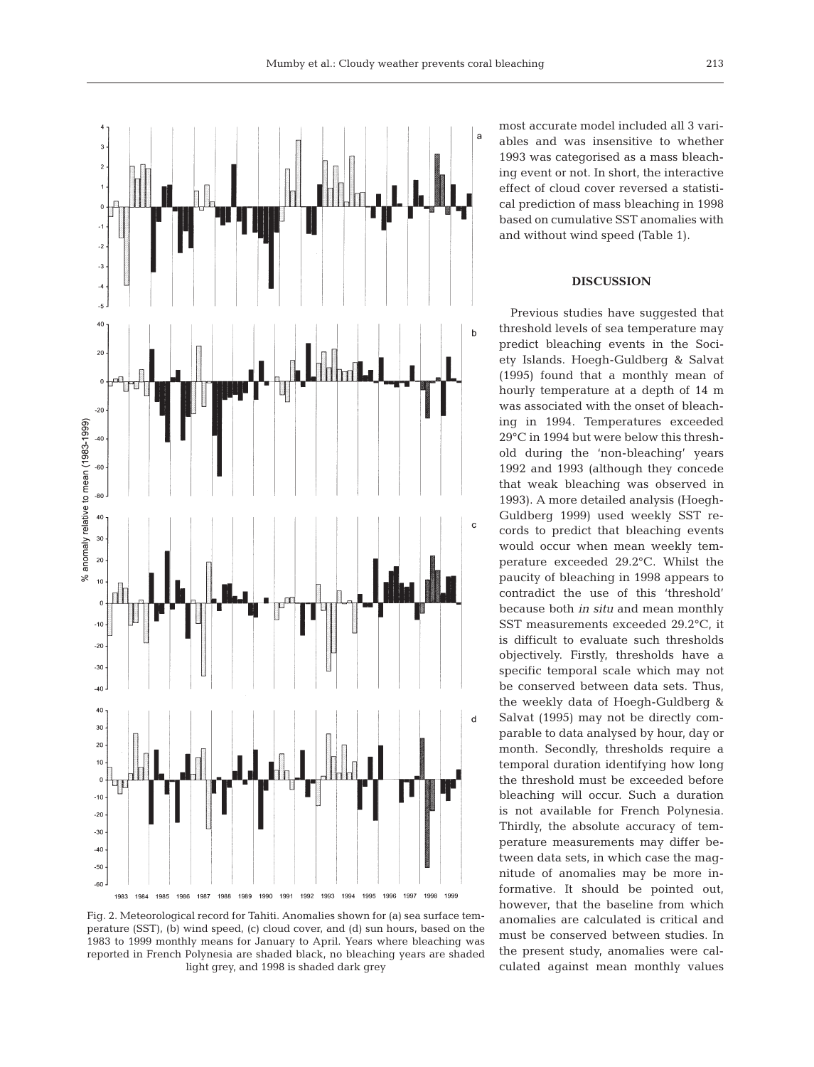

Fig. 2. Meteorological record for Tahiti. Anomalies shown for (a) sea surface temperature (SST), (b) wind speed, (c) cloud cover, and (d) sun hours, based on the 1983 to 1999 monthly means for January to April. Years where bleaching was reported in French Polynesia are shaded black, no bleaching years are shaded light grey, and 1998 is shaded dark grey

most accurate model included all 3 variables and was insensitive to whether 1993 was categorised as a mass bleaching event or not. In short, the interactive effect of cloud cover reversed a statistical prediction of mass bleaching in 1998 based on cumulative SST anomalies with and without wind speed (Table 1).

## **DISCUSSION**

Previous studies have suggested that threshold levels of sea temperature may predict bleaching events in the Society Islands. Hoegh-Guldberg & Salvat (1995) found that a monthly mean of hourly temperature at a depth of 14 m was associated with the onset of bleaching in 1994. Temperatures exceeded 29°C in 1994 but were below this threshold during the 'non-bleaching' years 1992 and 1993 (although they concede that weak bleaching was observed in 1993). A more detailed analysis (Hoegh-Guldberg 1999) used weekly SST records to predict that bleaching events would occur when mean weekly temperature exceeded 29.2°C. Whilst the paucity of bleaching in 1998 appears to contradict the use of this 'threshold' because both *in situ* and mean monthly SST measurements exceeded 29.2°C, it is difficult to evaluate such thresholds objectively. Firstly, thresholds have a specific temporal scale which may not be conserved between data sets. Thus, the weekly data of Hoegh-Guldberg & Salvat (1995) may not be directly comparable to data analysed by hour, day or month. Secondly, thresholds require a temporal duration identifying how long the threshold must be exceeded before bleaching will occur. Such a duration is not available for French Polynesia. Thirdly, the absolute accuracy of temperature measurements may differ between data sets, in which case the magnitude of anomalies may be more informative. It should be pointed out, however, that the baseline from which anomalies are calculated is critical and must be conserved between studies. In the present study, anomalies were calculated against mean monthly values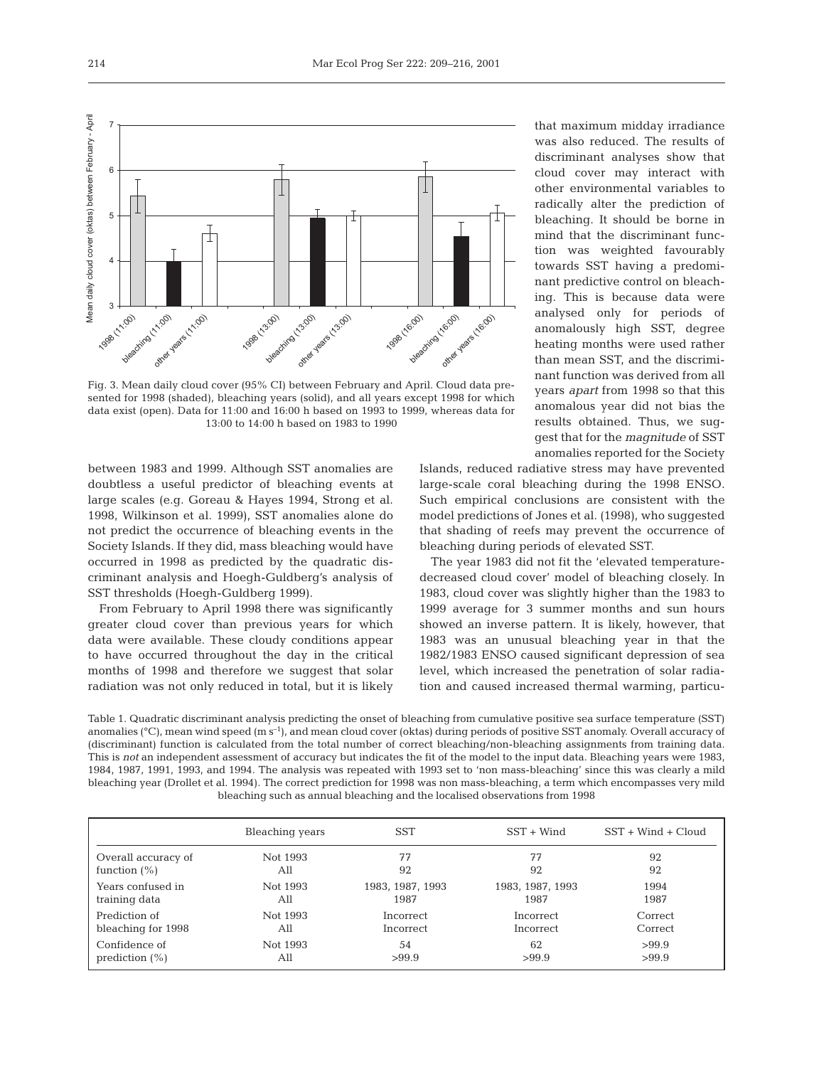

data exist (open). Data for 11:00 and 16:00 h based on 1993 to 1999, whereas data for 13:00 to 14:00 h based on 1983 to 1990

between 1983 and 1999. Although SST anomalies are doubtless a useful predictor of bleaching events at large scales (e.g. Goreau & Hayes 1994, Strong et al. 1998, Wilkinson et al. 1999), SST anomalies alone do not predict the occurrence of bleaching events in the Society Islands. If they did, mass bleaching would have occurred in 1998 as predicted by the quadratic discriminant analysis and Hoegh-Guldberg's analysis of SST thresholds (Hoegh-Guldberg 1999).

t

From February to April 1998 there was significantly greater cloud cover than previous years for which data were available. These cloudy conditions appear to have occurred throughout the day in the critical months of 1998 and therefore we suggest that solar radiation was not only reduced in total, but it is likely

that maximum midday irradiance was also reduced. The results of discriminant analyses show that cloud cover may interact with other environmental variables to radically alter the prediction of bleaching. It should be borne in mind that the discriminant function was weighted favourably towards SST having a predominant predictive control on bleaching. This is because data were analysed only for periods of anomalously high SST, degree heating months were used rather than mean SST, and the discriminant function was derived from all years *apart* from 1998 so that this anomalous year did not bias the results obtained. Thus, we suggest that for the *magnitude* of SST anomalies reported for the Society

Islands, reduced radiative stress may have prevented large-scale coral bleaching during the 1998 ENSO. Such empirical conclusions are consistent with the model predictions of Jones et al. (1998), who suggested that shading of reefs may prevent the occurrence of bleaching during periods of elevated SST.

The year 1983 did not fit the 'elevated temperaturedecreased cloud cover' model of bleaching closely. In 1983, cloud cover was slightly higher than the 1983 to 1999 average for 3 summer months and sun hours showed an inverse pattern. It is likely, however, that 1983 was an unusual bleaching year in that the 1982/1983 ENSO caused significant depression of sea level, which increased the penetration of solar radiation and caused increased thermal warming, particu-

Table 1. Quadratic discriminant analysis predicting the onset of bleaching from cumulative positive sea surface temperature (SST) anomalies ( $^{\circ}$ C), mean wind speed (m s<sup>-1</sup>), and mean cloud cover (oktas) during periods of positive SST anomaly. Overall accuracy of (discriminant) function is calculated from the total number of correct bleaching/non-bleaching assignments from training data. This is *not* an independent assessment of accuracy but indicates the fit of the model to the input data. Bleaching years were 1983, 1984, 1987, 1991, 1993, and 1994. The analysis was repeated with 1993 set to 'non mass-bleaching' since this was clearly a mild bleaching year (Drollet et al. 1994). The correct prediction for 1998 was non mass-bleaching, a term which encompasses very mild bleaching such as annual bleaching and the localised observations from 1998

|                     | Bleaching years | <b>SST</b>       | $SST + Wind$     | $SST + Wind + Cloud$ |
|---------------------|-----------------|------------------|------------------|----------------------|
| Overall accuracy of | Not 1993        | 77               | 77               | 92                   |
| function $(\%)$     | All             | 92               | 92               | 92                   |
| Years confused in   | Not 1993        | 1983, 1987, 1993 | 1983, 1987, 1993 | 1994                 |
| training data       | All             | 1987             | 1987             | 1987                 |
| Prediction of       | Not 1993        | Incorrect        | Incorrect        | Correct              |
| bleaching for 1998  | All             | Incorrect        | Incorrect        | Correct              |
| Confidence of       | Not 1993        | 54               | 62               | >99.9                |
| prediction $(\% )$  | All             | >99.9            | >99.9            | >99.9                |

3

4

5

Mean daily cloud cover (oktas) between February - April

Mean daily cloud cover (oktas) between February - April

6

7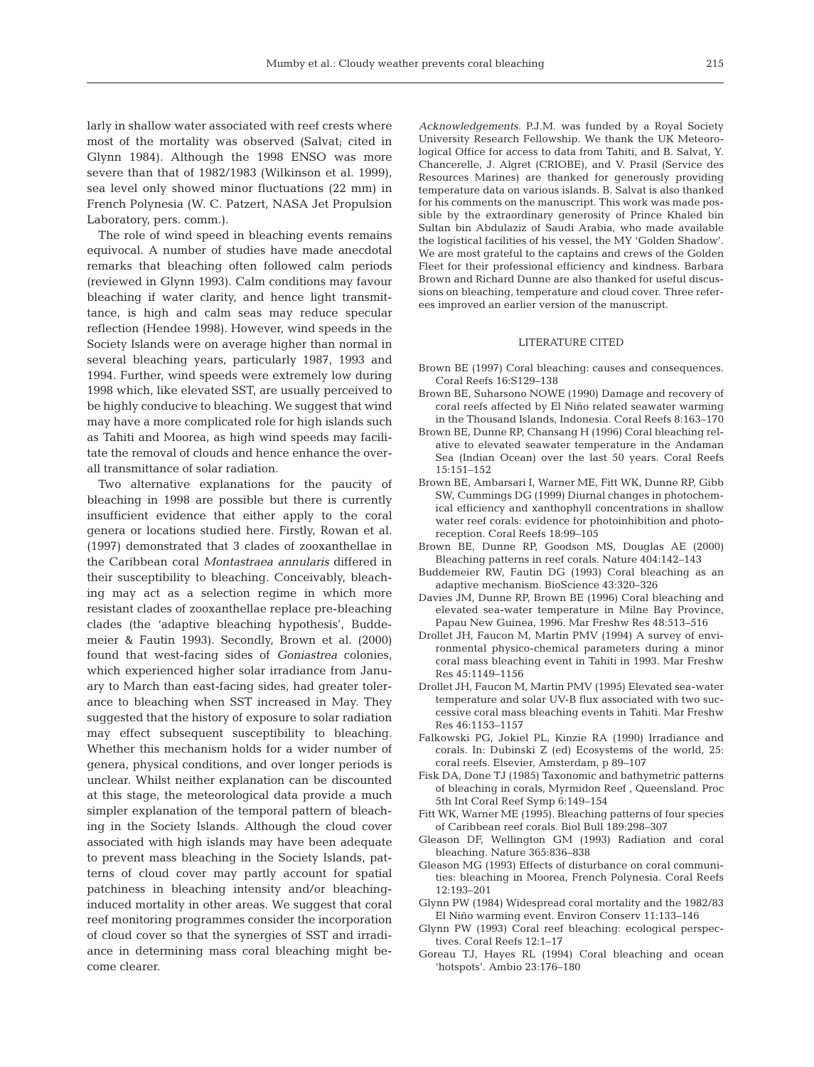larly in shallow water associated with reef crests where most of the mortality was observed (Salvat; cited in Glynn 1984). Although the 1998 ENSO was more severe than that of 1982/1983 (Wilkinson et al. 1999), sea level only showed minor fluctuations (22 mm) in French Polynesia (W. C. Patzert, NASA Jet Propulsion Laboratory, pers. comm.).

The role of wind speed in bleaching events remains equivocal. A number of studies have made anecdotal remarks that bleaching often followed calm periods (reviewed in Glynn 1993). Calm conditions may favour bleaching if water clarity, and hence light transmittance, is high and calm seas may reduce specular reflection (Hendee 1998). However, wind speeds in the Society Islands were on average higher than normal in several bleaching years, particularly 1987, 1993 and 1994. Further, wind speeds were extremely low during 1998 which, like elevated SST, are usually perceived to be highly conducive to bleaching. We suggest that wind may have a more complicated role for high islands such as Tahiti and Moorea, as high wind speeds may facilitate the removal of clouds and hence enhance the overall transmittance of solar radiation.

Two alternative explanations for the paucity of bleaching in 1998 are possible but there is currently insufficient evidence that either apply to the coral genera or locations studied here. Firstly, Rowan et al. (1997) demonstrated that 3 clades of zooxanthellae in the Caribbean coral *Montastraea annularis* differed in their susceptibility to bleaching. Conceivably, bleaching may act as a selection regime in which more resistant clades of zooxanthellae replace pre-bleaching clades (the 'adaptive bleaching hypothesis', Buddemeier & Fautin 1993). Secondly, Brown et al. (2000) found that west-facing sides of *Goniastrea* colonies, which experienced higher solar irradiance from January to March than east-facing sides, had greater tolerance to bleaching when SST increased in May. They suggested that the history of exposure to solar radiation may effect subsequent susceptibility to bleaching. Whether this mechanism holds for a wider number of genera, physical conditions, and over longer periods is unclear. Whilst neither explanation can be discounted at this stage, the meteorological data provide a much simpler explanation of the temporal pattern of bleaching in the Society Islands. Although the cloud cover associated with high islands may have been adequate to prevent mass bleaching in the Society Islands, patterns of cloud cover may partly account for spatial patchiness in bleaching intensity and/or bleachinginduced mortality in other areas. We suggest that coral reef monitoring programmes consider the incorporation of cloud cover so that the synergies of SST and irradiance in determining mass coral bleaching might become clearer.

*Acknowledgements.* P.J.M. was funded by a Royal Society University Research Fellowship. We thank the UK Meteorological Office for access to data from Tahiti, and B. Salvat, Y. Chancerelle, J. Algret (CRIOBE), and V. Prasil (Service des Resources Marines) are thanked for generously providing temperature data on various islands. B. Salvat is also thanked for his comments on the manuscript. This work was made possible by the extraordinary generosity of Prince Khaled bin Sultan bin Abdulaziz of Saudi Arabia, who made available the logistical facilities of his vessel, the MY 'Golden Shadow'. We are most grateful to the captains and crews of the Golden Fleet for their professional efficiency and kindness. Barbara Brown and Richard Dunne are also thanked for useful discussions on bleaching, temperature and cloud cover. Three referees improved an earlier version of the manuscript.

#### LITERATURE CITED

- Brown BE (1997) Coral bleaching: causes and consequences. Coral Reefs 16:S129–138
- Brown BE, Suharsono NOWE (1990) Damage and recovery of coral reefs affected by El Niño related seawater warming in the Thousand Islands, Indonesia. Coral Reefs 8:163–170
- Brown BE, Dunne RP, Chansang H (1996) Coral bleaching relative to elevated seawater temperature in the Andaman Sea (Indian Ocean) over the last 50 years. Coral Reefs 15:151–152
- Brown BE, Ambarsari I, Warner ME, Fitt WK, Dunne RP, Gibb SW, Cummings DG (1999) Diurnal changes in photochemical efficiency and xanthophyll concentrations in shallow water reef corals: evidence for photoinhibition and photoreception. Coral Reefs 18:99–105
- Brown BE, Dunne RP, Goodson MS, Douglas AE (2000) Bleaching patterns in reef corals. Nature 404:142–143
- Buddemeier RW, Fautin DG (1993) Coral bleaching as an adaptive mechanism. BioScience 43:320–326
- Davies JM, Dunne RP, Brown BE (1996) Coral bleaching and elevated sea-water temperature in Milne Bay Province, Papau New Guinea, 1996. Mar Freshw Res 48:513–516
- Drollet JH, Faucon M, Martin PMV (1994) A survey of environmental physico-chemical parameters during a minor coral mass bleaching event in Tahiti in 1993. Mar Freshw Res 45:1149–1156
- Drollet JH, Faucon M, Martin PMV (1995) Elevated sea-water temperature and solar UV-B flux associated with two successive coral mass bleaching events in Tahiti. Mar Freshw Res 46:1153–1157
- Falkowski PG, Jokiel PL, Kinzie RA (1990) Irradiance and corals. In: Dubinski Z (ed) Ecosystems of the world, 25: coral reefs. Elsevier, Amsterdam, p 89–107
- Fisk DA, Done TJ (1985) Taxonomic and bathymetric patterns of bleaching in corals, Myrmidon Reef , Queensland. Proc 5th Int Coral Reef Symp 6:149–154
- Fitt WK, Warner ME (1995). Bleaching patterns of four species of Caribbean reef corals. Biol Bull 189:298–307
- Gleason DF, Wellington GM (1993) Radiation and coral bleaching. Nature 365:836–838
- Gleason MG (1993) Effects of disturbance on coral communities: bleaching in Moorea, French Polynesia. Coral Reefs 12:193–201
- Glynn PW (1984) Widespread coral mortality and the 1982/83 El Niño warming event. Environ Conserv 11:133–146
- Glynn PW (1993) Coral reef bleaching: ecological perspectives. Coral Reefs 12:1–17
- Goreau TJ, Hayes RL (1994) Coral bleaching and ocean 'hotspots'. Ambio 23:176–180